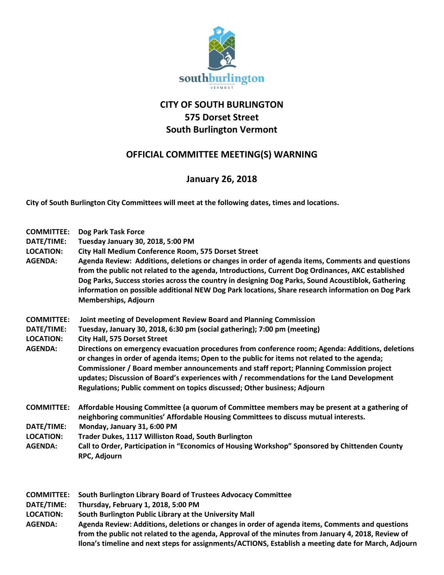

## **CITY OF SOUTH BURLINGTON 575 Dorset Street South Burlington Vermont**

## **OFFICIAL COMMITTEE MEETING(S) WARNING**

## **January 26, 2018**

**City of South Burlington City Committees will meet at the following dates, times and locations.** 

| <b>COMMITTEE:</b><br>DATE/TIME:<br><b>LOCATION:</b><br><b>AGENDA:</b> | Dog Park Task Force<br><b>Tuesday January 30, 2018, 5:00 PM</b><br>City Hall Medium Conference Room, 575 Dorset Street<br>Agenda Review: Additions, deletions or changes in order of agenda items, Comments and questions<br>from the public not related to the agenda, Introductions, Current Dog Ordinances, AKC established<br>Dog Parks, Success stories across the country in designing Dog Parks, Sound Acoustiblok, Gathering<br>information on possible additional NEW Dog Park locations, Share research information on Dog Park<br>Memberships, Adjourn                                                                                             |
|-----------------------------------------------------------------------|---------------------------------------------------------------------------------------------------------------------------------------------------------------------------------------------------------------------------------------------------------------------------------------------------------------------------------------------------------------------------------------------------------------------------------------------------------------------------------------------------------------------------------------------------------------------------------------------------------------------------------------------------------------|
| <b>COMMITTEE:</b><br>DATE/TIME:<br><b>LOCATION:</b><br><b>AGENDA:</b> | Joint meeting of Development Review Board and Planning Commission<br>Tuesday, January 30, 2018, 6:30 pm (social gathering); 7:00 pm (meeting)<br><b>City Hall, 575 Dorset Street</b><br>Directions on emergency evacuation procedures from conference room; Agenda: Additions, deletions<br>or changes in order of agenda items; Open to the public for items not related to the agenda;<br>Commissioner / Board member announcements and staff report; Planning Commission project<br>updates; Discussion of Board's experiences with / recommendations for the Land Development<br>Regulations; Public comment on topics discussed; Other business; Adjourn |
| <b>COMMITTEE:</b><br>DATE/TIME:<br><b>LOCATION:</b><br><b>AGENDA:</b> | Affordable Housing Committee (a quorum of Committee members may be present at a gathering of<br>neighboring communities' Affordable Housing Committees to discuss mutual interests.<br>Monday, January 31, 6:00 PM<br>Trader Dukes, 1117 Williston Road, South Burlington<br>Call to Order, Participation in "Economics of Housing Workshop" Sponsored by Chittenden County<br>RPC, Adjourn                                                                                                                                                                                                                                                                   |
| <b>COMMITTEE:</b><br>DATE/TIME:                                       | South Burlington Library Board of Trustees Advocacy Committee<br>Thursday, February 1, 2018, 5:00 PM                                                                                                                                                                                                                                                                                                                                                                                                                                                                                                                                                          |

**LOCATION: South Burlington Public Library at the University Mall**

**AGENDA: Agenda Review: Additions, deletions or changes in order of agenda items, Comments and questions from the public not related to the agenda, Approval of the minutes from January 4, 2018, Review of Ilona's timeline and next steps for assignments/ACTIONS, Establish a meeting date for March, Adjourn**